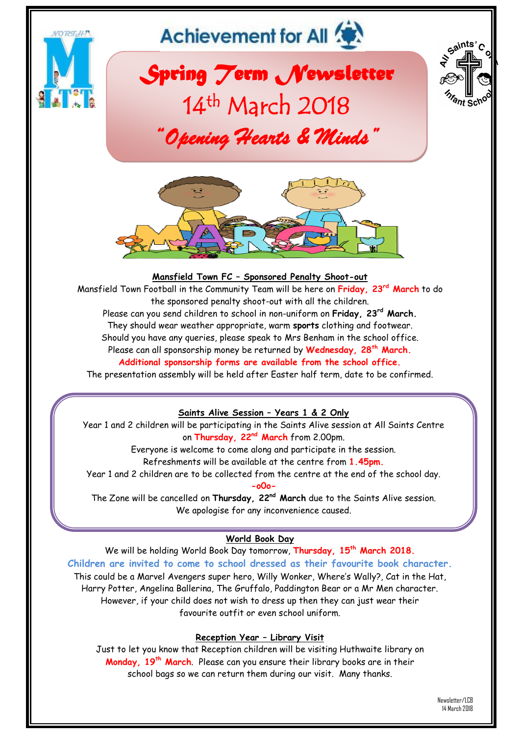

**Reception Year – Library Visit**

Just to let you know that Reception children will be visiting Huthwaite library on **Monday, 19th March**. Please can you ensure their library books are in their school bags so we can return them during our visit. Many thanks.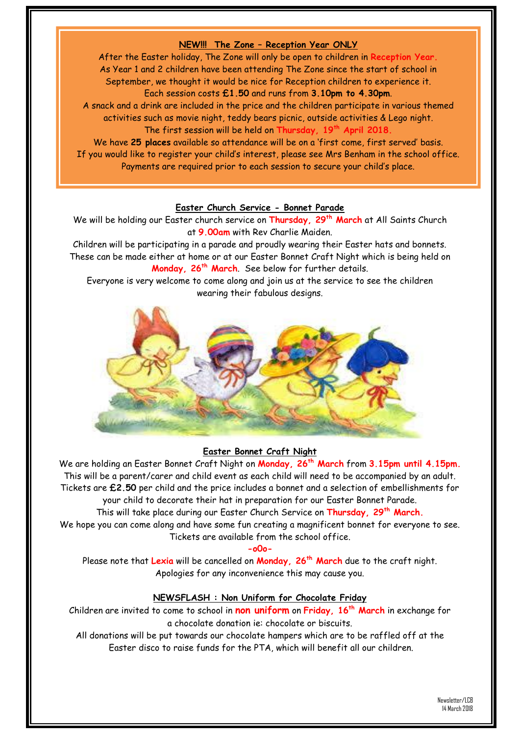# **NEW!!! The Zone – Reception Year ONLY**

After the Easter holiday, The Zone will only be open to children in **Reception Year.** As Year 1 and 2 children have been attending The Zone since the start of school in September, we thought it would be nice for Reception children to experience it. Each session costs **£1.50** and runs from **3.10pm to 4.30pm**. A snack and a drink are included in the price and the children participate in various themed activities such as movie night, teddy bears picnic, outside activities & Lego night. The first session will be held on **Thursday, 19th April 2018.**

We have **25 places** available so attendance will be on a 'first come, first served' basis. If you would like to register your child's interest, please see Mrs Benham in the school office. Payments are required prior to each session to secure your child's place.

### **Easter Church Service - Bonnet Parade**

We will be holding our Easter church service on **Thursday, 29th March** at All Saints Church at **9.00am** with Rev Charlie Maiden.

Children will be participating in a parade and proudly wearing their Easter hats and bonnets. These can be made either at home or at our Easter Bonnet Craft Night which is being held on **Monday, 26th March**. See below for further details.

Everyone is very welcome to come along and join us at the service to see the children wearing their fabulous designs.



#### **Easter Bonnet Craft Night**

We are holding an Easter Bonnet Craft Night on **Monday, 26th March** from **3.15pm until 4.15pm.** This will be a parent/carer and child event as each child will need to be accompanied by an adult. Tickets are **£2.50** per child and the price includes a bonnet and a selection of embellishments for your child to decorate their hat in preparation for our Easter Bonnet Parade.

This will take place during our Easter Church Service on **Thursday, 29th March.**

We hope you can come along and have some fun creating a magnificent bonnet for everyone to see. Tickets are available from the school office.

#### **-o0o-**

Please note that **Lexia** will be cancelled on **Monday, 26th March** due to the craft night. Apologies for any inconvenience this may cause you.

### **NEWSFLASH : Non Uniform for Chocolate Friday**

Children are invited to come to school in **non uniform** on **Friday, 16th March** in exchange for a chocolate donation ie: chocolate or biscuits.

All donations will be put towards our chocolate hampers which are to be raffled off at the Easter disco to raise funds for the PTA, which will benefit all our children.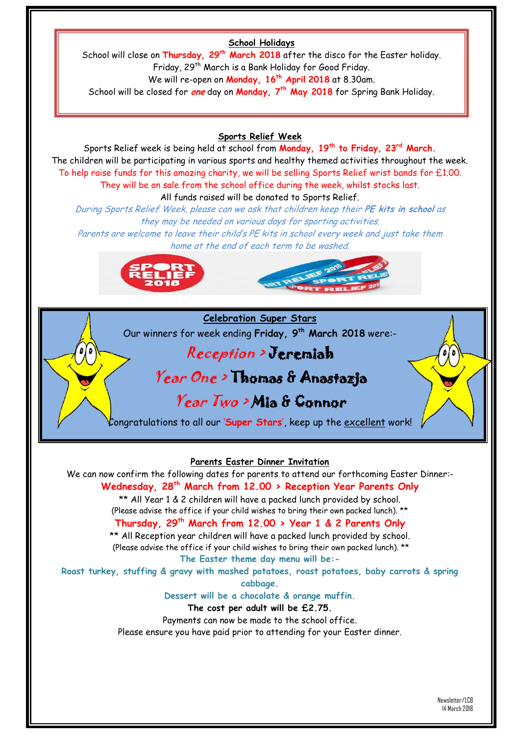# **School Holidays**

School will close on **Thursday, 29th March 2018** after the disco for the Easter holiday. Friday, 29<sup>th</sup> March is a Bank Holiday for Good Friday. We will re-open on **Monday, 16th April 2018** at 8.30am. School will be closed for **one** day on **Monday, 7th May 2018** for Spring Bank Holiday.

### **Sports Relief Week**

Sports Relief week is being held at school from **Monday, 19th to Friday, 23rd March.** The children will be participating in various sports and healthy themed activities throughout the week. To help raise funds for this amazing charity, we will be selling Sports Relief wrist bands for £1.00. They will be on sale from the school office during the week, whilst stocks last. All funds raised will be donated to Sports Relief.

During Sports Relief Week, please can we ask that children keep their **PE kits in school** as they may be needed on various days for sporting activities.

Parents are welcome to leave their child's PE kits in school every week and just take them home at the end of each term to be washed.





Our winners for week ending **Friday, 9 th March 2018** were:-

# Reception > Jeremiah

# Year One > Thomas & Anastazja

# Year Two > Mia & Connor

Congratulations to all our '**Super Stars**', keep up the excellent work!

### **Parents Easter Dinner Invitation**

We can now confirm the following dates for parents to attend our forthcoming Easter Dinner:- **Wednesday, 28th March from 12.00 > Reception Year Parents Only** \*\* All Year 1 & 2 children will have a packed lunch provided by school. (Please advise the office if your child wishes to bring their own packed lunch). \*\* **Thursday, 29th March from 12.00 > Year 1 & 2 Parents Only** \*\* All Reception year children will have a packed lunch provided by school. (Please advise the office if your child wishes to bring their own packed lunch). \*\* **The Easter theme day menu will be:- Roast turkey, stuffing & gravy with mashed potatoes, roast potatoes, baby carrots & spring cabbage. Dessert will be a chocolate & orange muffin. The cost per adult will be £2.75.**  Payments can now be made to the school office. Please ensure you have paid prior to attending for your Easter dinner.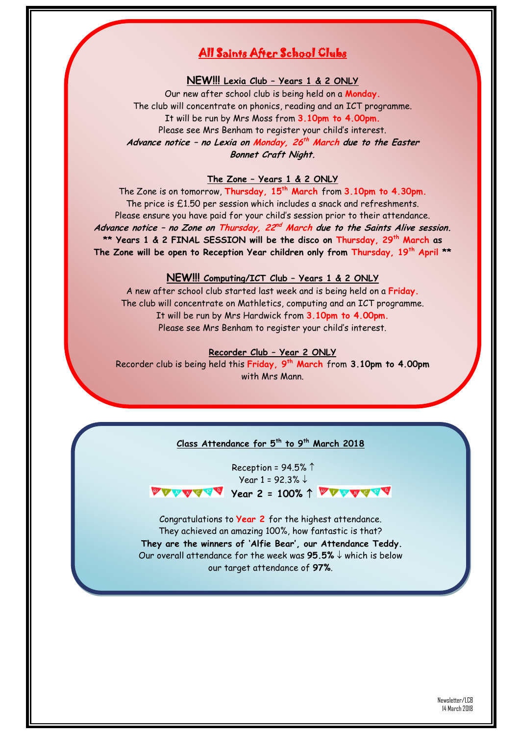# All Saints After School Clubs

### **NEW!!! Lexia Club – Years 1 & 2 ONLY**

Our new after school club is being held on a **Monday.** The club will concentrate on phonics, reading and an ICT programme. It will be run by Mrs Moss from **3.10pm to 4.00pm.** Please see Mrs Benham to register your child's interest. **Advance notice – no Lexia on Monday, 26 th March due to the Easter Bonnet Craft Night.**

### **The Zone – Years 1 & 2 ONLY**

The Zone is on tomorrow, **Thursday, 15th March** from **3.10pm to 4.30pm.** The price is £1.50 per session which includes a snack and refreshments. Please ensure you have paid for your child's session prior to their attendance. Advance notice - no Zone on Thursday, 22<sup>nd</sup> March due to the Saints Alive session. **\*\* Years 1 & 2 FINAL SESSION will be the disco on Thursday, 29th March as The Zone will be open to Reception Year children only from Thursday, 19th April \*\***

### **NEW!!! Computing/ICT Club – Years 1 & 2 ONLY**

A new after school club started last week and is being held on a **Friday.** The club will concentrate on Mathletics, computing and an ICT programme. It will be run by Mrs Hardwick from **3.10pm to 4.00pm.** Please see Mrs Benham to register your child's interest.

#### **Recorder Club – Year 2 ONLY**

Recorder club is being held this **Friday, 9 th March** from **3.10pm to 4.00pm** with Mrs Mann.

### **Class Attendance for 5 th to 9th March 2018**

Reception =  $94.5\%$  <sup> $\uparrow$ </sup> Year 1 = 92.3%  $\downarrow$ *VEATH Year 2 = 100% 1 VEATHS* 

Congratulations to **Year 2** for the highest attendance. They achieved an amazing 100%, how fantastic is that? **They are the winners of 'Alfie Bear', our Attendance Teddy.** Our overall attendance for the week was  $95.5\% \downarrow$  which is below our target attendance of **97%**.